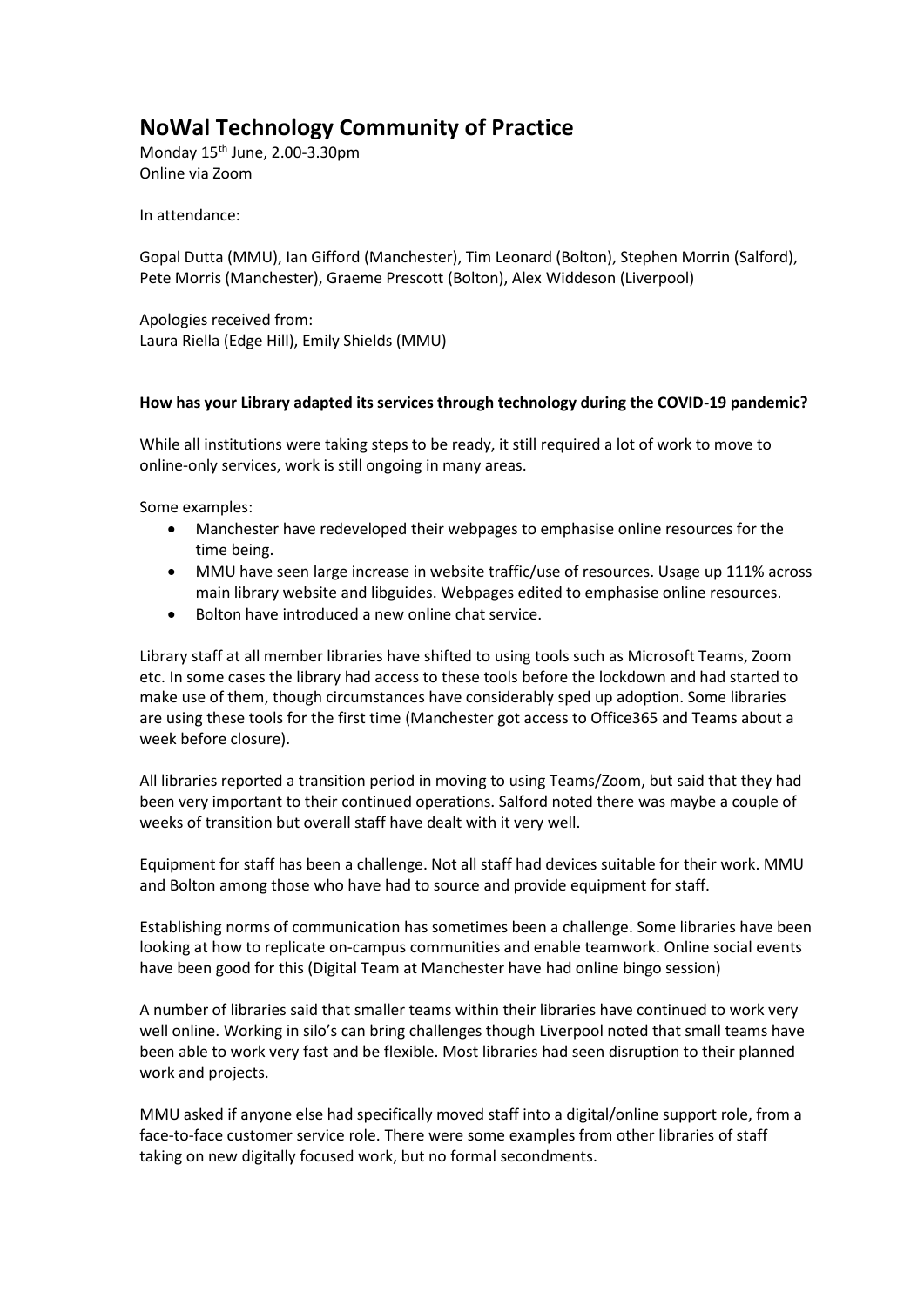## **NoWal Technology Community of Practice**

Monday 15th June, 2.00-3.30pm Online via Zoom

In attendance:

Gopal Dutta (MMU), Ian Gifford (Manchester), Tim Leonard (Bolton), Stephen Morrin (Salford), Pete Morris (Manchester), Graeme Prescott (Bolton), Alex Widdeson (Liverpool)

Apologies received from: Laura Riella (Edge Hill), Emily Shields (MMU)

## **How has your Library adapted its services through technology during the COVID-19 pandemic?**

While all institutions were taking steps to be ready, it still required a lot of work to move to online-only services, work is still ongoing in many areas.

Some examples:

- Manchester have redeveloped their webpages to emphasise online resources for the time being.
- MMU have seen large increase in website traffic/use of resources. Usage up 111% across main library website and libguides. Webpages edited to emphasise online resources.
- Bolton have introduced a new online chat service.

Library staff at all member libraries have shifted to using tools such as Microsoft Teams, Zoom etc. In some cases the library had access to these tools before the lockdown and had started to make use of them, though circumstances have considerably sped up adoption. Some libraries are using these tools for the first time (Manchester got access to Office365 and Teams about a week before closure).

All libraries reported a transition period in moving to using Teams/Zoom, but said that they had been very important to their continued operations. Salford noted there was maybe a couple of weeks of transition but overall staff have dealt with it very well.

Equipment for staff has been a challenge. Not all staff had devices suitable for their work. MMU and Bolton among those who have had to source and provide equipment for staff.

Establishing norms of communication has sometimes been a challenge. Some libraries have been looking at how to replicate on-campus communities and enable teamwork. Online social events have been good for this (Digital Team at Manchester have had online bingo session)

A number of libraries said that smaller teams within their libraries have continued to work very well online. Working in silo's can bring challenges though Liverpool noted that small teams have been able to work very fast and be flexible. Most libraries had seen disruption to their planned work and projects.

MMU asked if anyone else had specifically moved staff into a digital/online support role, from a face-to-face customer service role. There were some examples from other libraries of staff taking on new digitally focused work, but no formal secondments.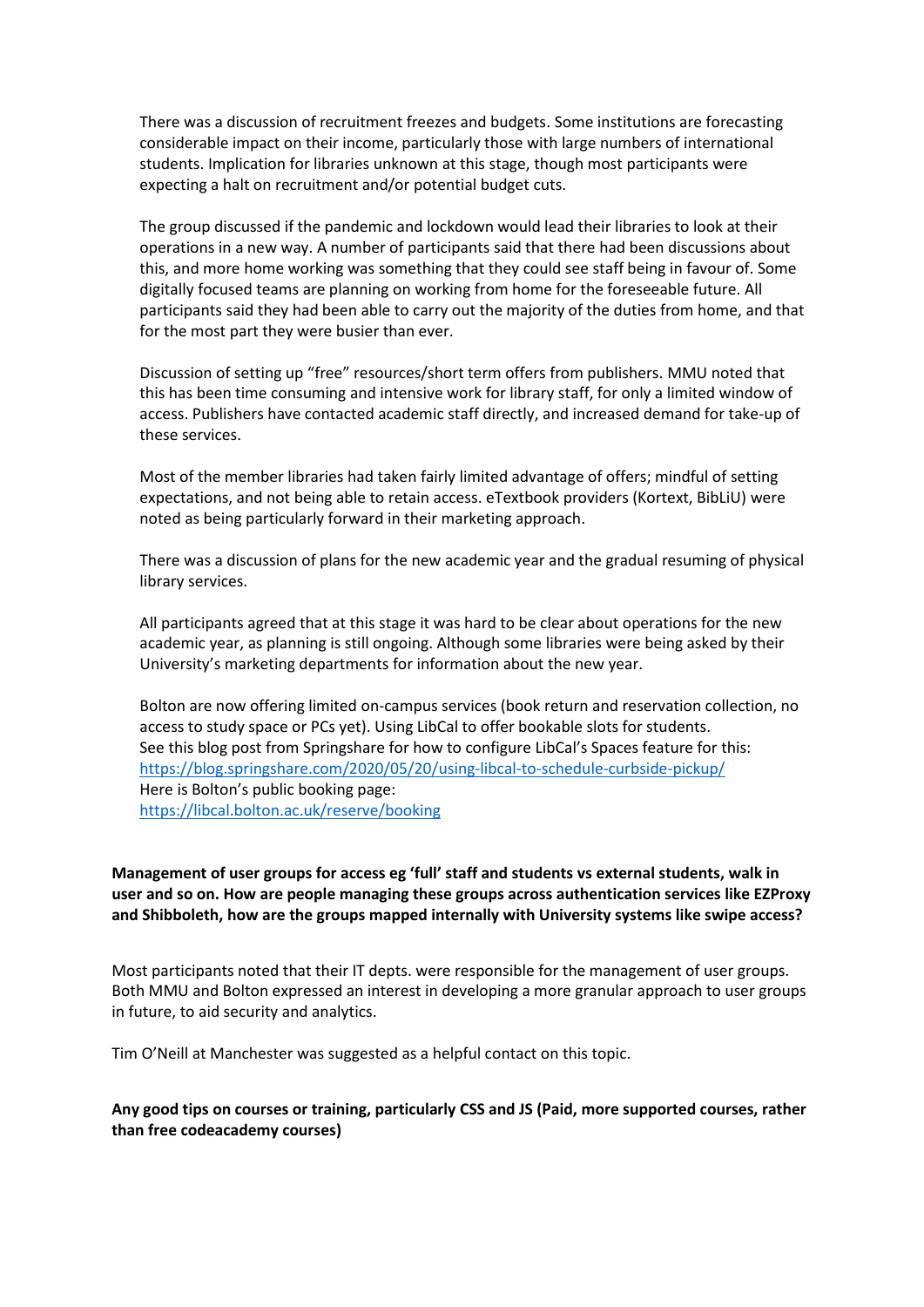There was a discussion of recruitment freezes and budgets. Some institutions are forecasting considerable impact on their income, particularly those with large numbers of international students. Implication for libraries unknown at this stage, though most participants were expecting a halt on recruitment and/or potential budget cuts.

The group discussed if the pandemic and lockdown would lead their libraries to look at their operations in a new way. A number of participants said that there had been discussions about this, and more home working was something that they could see staff being in favour of. Some digitally focused teams are planning on working from home for the foreseeable future. All participants said they had been able to carry out the majority of the duties from home, and that for the most part they were busier than ever.

Discussion of setting up "free" resources/short term offers from publishers. MMU noted that this has been time consuming and intensive work for library staff, for only a limited window of access. Publishers have contacted academic staff directly, and increased demand for take-up of these services.

Most of the member libraries had taken fairly limited advantage of offers; mindful of setting expectations, and not being able to retain access. eTextbook providers (Kortext, BibLiU) were noted as being particularly forward in their marketing approach.

There was a discussion of plans for the new academic year and the gradual resuming of physical library services.

All participants agreed that at this stage it was hard to be clear about operations for the new academic year, as planning is still ongoing. Although some libraries were being asked by their University's marketing departments for information about the new year.

Bolton are now offering limited on-campus services (book return and reservation collection, no access to study space or PCs yet). Using LibCal to offer bookable slots for students. See this blog post from Springshare for how to configure LibCal's Spaces feature for this: <https://blog.springshare.com/2020/05/20/using-libcal-to-schedule-curbside-pickup/> Here is Bolton's public booking page: <https://libcal.bolton.ac.uk/reserve/booking>

**Management of user groups for access eg 'full' staff and students vs external students, walk in user and so on. How are people managing these groups across authentication services like EZProxy and Shibboleth, how are the groups mapped internally with University systems like swipe access?**

Most participants noted that their IT depts. were responsible for the management of user groups. Both MMU and Bolton expressed an interest in developing a more granular approach to user groups in future, to aid security and analytics.

Tim O'Neill at Manchester was suggested as a helpful contact on this topic.

**Any good tips on courses or training, particularly CSS and JS (Paid, more supported courses, rather than free codeacademy courses)**